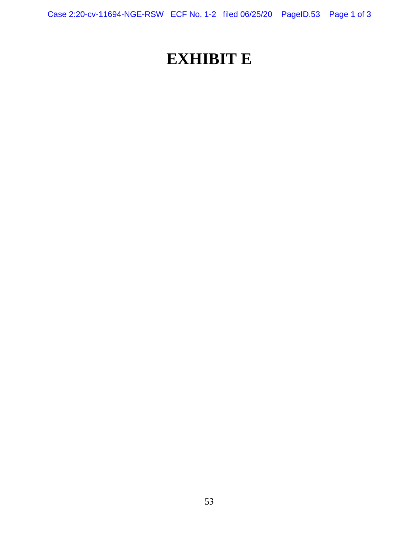Case 2:20-cv-11694-NGE-RSW ECF No. 1-2 filed 06/25/20 PageID.53 Page 1 of 3

# **EXHIBIT E**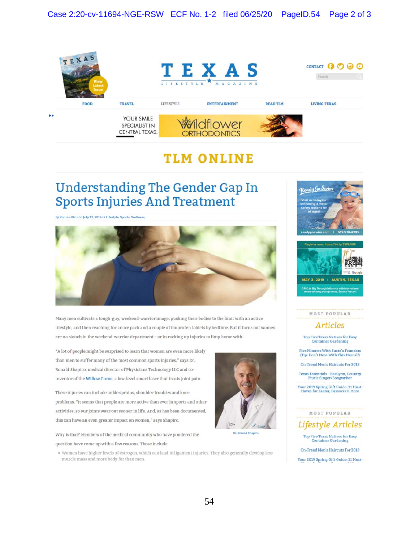

## **TLM ONLINE**

## **Understanding The Gender Gap In Sports Injuries And Treatment**

 $b$ y Ronnie Blair on July 12, 2016 in Lifestyle, Sports, Wellness,



Many men cultivate a tough-guy, weekend-warrior image, pushing their bodies to the limit with an active lifestyle, and then reaching for an ice pack and a couple of ibuprofen tablets by bedtime. But it turns out women are no slouch in the weekend-warrior department - or in racking up injuries to limp home with.

"A lot of people might be surprised to learn that women are even more likely than men to suffer many of the most common sports injuries," says Dr. Ronald Shapiro, medical director of Physicians Technology I.LC and coinventor of the Willow Curve, a low-level smart laser that treats joint pain.

These injuries can include ankle sprains, shoulder troubles and knee problems. "It seems that people are more active than ever in sports and other activities, so our joints wear out sooner in life. And, as has been documented, this can have an even greater Impact on women." says Shapiro.

why ls that? Members of the medical community who have pondered the question have come up with a few reasons. Those Include:

• Women have higher levels of estrogen, which can lead to ligament injuries. They also generally develop less muscle mass and more **body** fal than men



**Dr Jtonald** *SMpuo* 





**MOST POPULAR** 

#### **Articles**

**Top Five Texas Natives for Easy<br>Container Gardening** 

Five Minutes With Susto's Founders<br>(Tip: Don't Mess With This Mezcal!)

**On-Trend Men's Haircuts For 2018** 

Texas Essentials - RaeLynn, Country **Music Singer/Songwriter** 

Your 2019 Spring Gift Guide: 11 Must-<br>Haves for Easter, Passover & More

#### MOST **POPULAR**

**Lifestyle Articles** 

**Top Fiv@Texas Natlyg for Easy Container Gardening** 

On-Trend Men's Haircuts For 2018 Your 2019 Spring Gift Guide: 11 Must